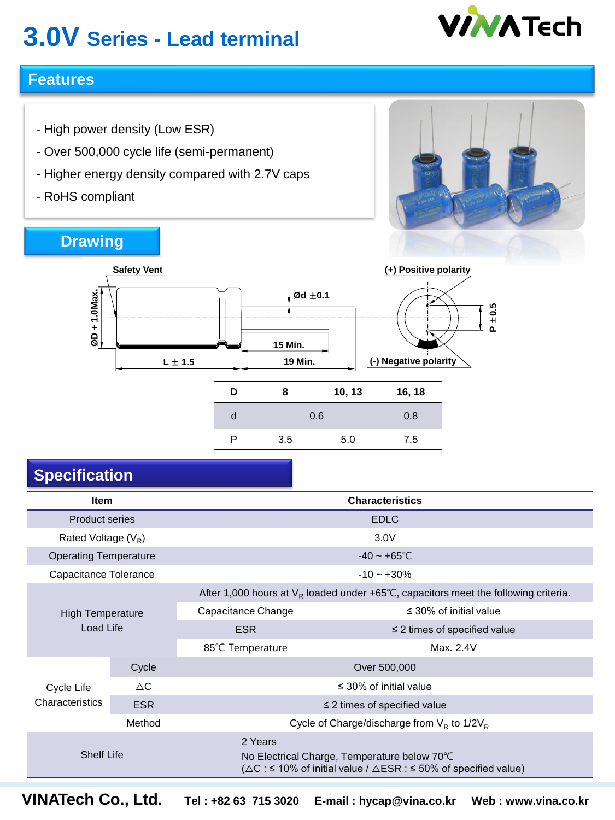# **3.0V Series - Lead terminal**



### **Features**

- High power density (Low ESR)
- Over 500,000 cycle life (semi-permanent)

**Safety Vent**

- Higher energy density compared with 2.7V caps
- RoHS compliant

### **Drawing**



| D | 8   | 10, 13 | 16, 18 |
|---|-----|--------|--------|
|   |     | 0.6    | 0.8    |
| ◻ | 3.5 | 5.0    | 7.5    |

### **Specification**

| <b>Item</b>                          |               | <b>Characteristics</b>                                                                                                                            |                             |  |  |  |  |
|--------------------------------------|---------------|---------------------------------------------------------------------------------------------------------------------------------------------------|-----------------------------|--|--|--|--|
| <b>Product series</b>                |               | <b>EDLC</b>                                                                                                                                       |                             |  |  |  |  |
| Rated Voltage $(V_R)$                |               | 3.0V                                                                                                                                              |                             |  |  |  |  |
| <b>Operating Temperature</b>         |               | $-40 - +65^{\circ}$ C                                                                                                                             |                             |  |  |  |  |
| Capacitance Tolerance                |               | $-10 - +30%$                                                                                                                                      |                             |  |  |  |  |
| <b>High Temperature</b><br>Load Life |               | After 1,000 hours at $V_R$ loaded under +65°C, capacitors meet the following criteria.                                                            |                             |  |  |  |  |
|                                      |               | Capacitance Change                                                                                                                                | $\leq$ 30% of initial value |  |  |  |  |
|                                      |               | <b>ESR</b><br>$\leq$ 2 times of specified value                                                                                                   |                             |  |  |  |  |
|                                      |               | Max. 2.4V<br>85°C Temperature                                                                                                                     |                             |  |  |  |  |
| Cycle                                |               | Over 500,000                                                                                                                                      |                             |  |  |  |  |
| Cycle Life                           | $\triangle C$ | $\leq$ 30% of initial value                                                                                                                       |                             |  |  |  |  |
| Characteristics                      | <b>ESR</b>    | $\leq$ 2 times of specified value                                                                                                                 |                             |  |  |  |  |
|                                      | Method        | Cycle of Charge/discharge from $V_R$ to 1/2 $V_R$                                                                                                 |                             |  |  |  |  |
| <b>Shelf Life</b>                    |               | 2 Years<br>No Electrical Charge, Temperature below 70°C<br>( $\triangle C$ : ≤ 10% of initial value / $\triangle ESR$ : ≤ 50% of specified value) |                             |  |  |  |  |

**VINATech Co., Ltd. Tel : +82 63 715 3020 E-mail : hycap@vina.co.kr Web : www.vina.co.kr**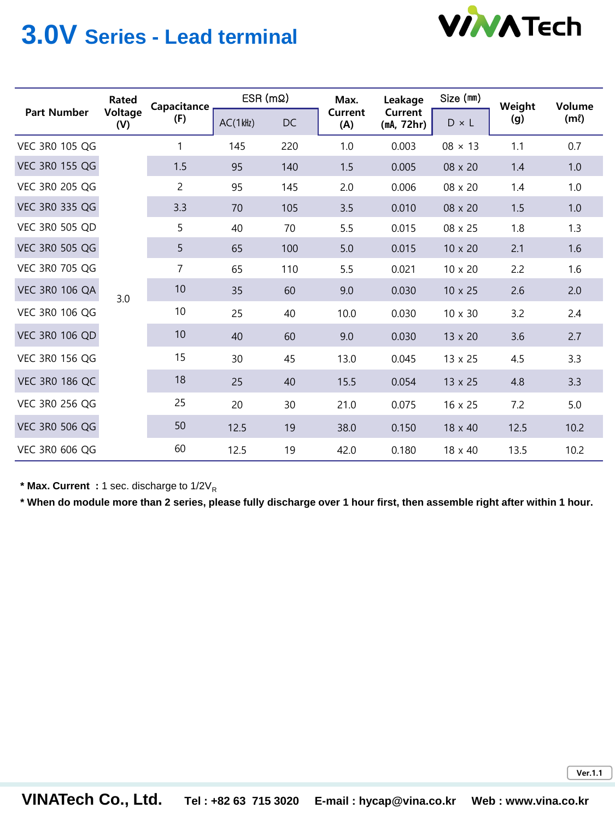

## **3.0V Series - Lead terminal**

| <b>Part Number</b>    | Rated<br>Voltage<br>(V) | Capacitance<br>(F) | $ESR(m\Omega)$ |     | Max.           | Leakage               | Size (mm)      | Weight | Volume    |
|-----------------------|-------------------------|--------------------|----------------|-----|----------------|-----------------------|----------------|--------|-----------|
|                       |                         |                    | $AC(1$ kHz)    | DC  | Current<br>(A) | Current<br>(mA, 72hr) | $D \times L$   | (g)    | $(m\ell)$ |
| <b>VEC 3R0 105 QG</b> |                         | 1                  | 145            | 220 | 1.0            | 0.003                 | $08 \times 13$ | 1.1    | 0.7       |
| <b>VEC 3R0 155 QG</b> |                         | 1.5                | 95             | 140 | 1.5            | 0.005                 | 08 x 20        | 1.4    | 1.0       |
| <b>VEC 3R0 205 QG</b> |                         | 2                  | 95             | 145 | 2.0            | 0.006                 | 08 x 20        | 1.4    | 1.0       |
| VEC 3R0 335 QG        |                         | 3.3                | 70             | 105 | 3.5            | 0.010                 | 08 x 20        | 1.5    | 1.0       |
| <b>VEC 3R0 505 QD</b> |                         | 5                  | 40             | 70  | 5.5            | 0.015                 | 08 x 25        | 1.8    | 1.3       |
| VEC 3R0 505 QG        | 3.0                     | 5                  | 65             | 100 | 5.0            | 0.015                 | $10 \times 20$ | 2.1    | 1.6       |
| <b>VEC 3R0 705 QG</b> |                         | 7                  | 65             | 110 | 5.5            | 0.021                 | 10 x 20        | 2.2    | 1.6       |
| <b>VEC 3R0 106 QA</b> |                         | 10                 | 35             | 60  | 9.0            | 0.030                 | 10 x 25        | 2.6    | 2.0       |
| <b>VEC 3R0 106 QG</b> |                         | 10                 | 25             | 40  | 10.0           | 0.030                 | $10 \times 30$ | 3.2    | 2.4       |
| <b>VEC 3R0 106 QD</b> |                         | 10                 | 40             | 60  | 9.0            | 0.030                 | 13 x 20        | 3.6    | 2.7       |
| <b>VEC 3R0 156 QG</b> |                         | 15                 | 30             | 45  | 13.0           | 0.045                 | 13 x 25        | 4.5    | 3.3       |
| <b>VEC 3R0 186 QC</b> |                         | 18                 | 25             | 40  | 15.5           | 0.054                 | $13 \times 25$ | 4.8    | 3.3       |
| <b>VEC 3R0 256 QG</b> |                         | 25                 | 20             | 30  | 21.0           | 0.075                 | $16 \times 25$ | 7.2    | 5.0       |
| <b>VEC 3R0 506 QG</b> |                         | 50                 | 12.5           | 19  | 38.0           | 0.150                 | $18 \times 40$ | 12.5   | 10.2      |
| <b>VEC 3R0 606 QG</b> |                         | 60                 | 12.5           | 19  | 42.0           | 0.180                 | $18 \times 40$ | 13.5   | 10.2      |

\* Max. Current : 1 sec. discharge to 1/2V<sub>R</sub>

**\* When do module more than 2 series, please fully discharge over 1 hour first, then assemble right after within 1 hour.**

**Ver.1.1**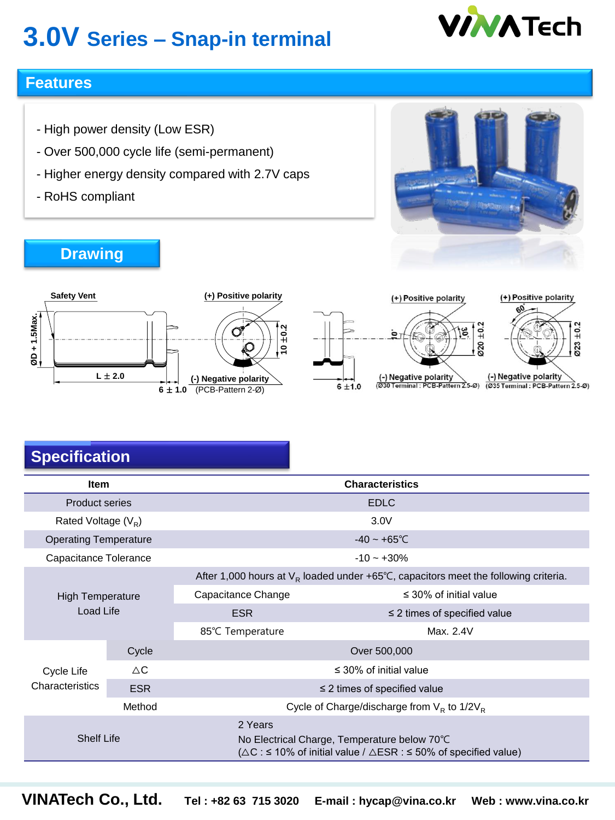# **3.0V Series – Snap-in terminal**



### **Features**

- High power density (Low ESR)
- Over 500,000 cycle life (semi-permanent)
- Higher energy density compared with 2.7V caps
- RoHS compliant

**Drawing**









## **Specification**

|                              | $L \pm 2.0$   | (-) Negative polarity<br>$6 \pm 1.0$ (PCB-Pattern 2-Ø)                                                                                            | 6 ± 1.0 | (-) Negative polarity<br>(Ø30 Terminal: PCB-Pattern 2.5-Ø) | (-) Negative polarity<br>(Ø35 Terminal: PCB-Pattern 2.5-Ø) |  |  |
|------------------------------|---------------|---------------------------------------------------------------------------------------------------------------------------------------------------|---------|------------------------------------------------------------|------------------------------------------------------------|--|--|
| <b>Specification</b>         |               |                                                                                                                                                   |         |                                                            |                                                            |  |  |
| <b>Item</b>                  |               |                                                                                                                                                   |         | <b>Characteristics</b>                                     |                                                            |  |  |
| <b>Product series</b>        |               |                                                                                                                                                   |         | <b>EDLC</b>                                                |                                                            |  |  |
| Rated Voltage $(V_R)$        |               |                                                                                                                                                   |         | 3.0V                                                       |                                                            |  |  |
| <b>Operating Temperature</b> |               | $-40 - +65^{\circ}$ C                                                                                                                             |         |                                                            |                                                            |  |  |
| Capacitance Tolerance        |               | $-10 - +30%$                                                                                                                                      |         |                                                            |                                                            |  |  |
|                              |               | After 1,000 hours at $V_R$ loaded under +65°C, capacitors meet the following criteria.                                                            |         |                                                            |                                                            |  |  |
| <b>High Temperature</b>      |               | $\leq$ 30% of initial value<br>Capacitance Change                                                                                                 |         |                                                            |                                                            |  |  |
| Load Life                    |               | <b>ESR</b><br>$\leq$ 2 times of specified value                                                                                                   |         |                                                            |                                                            |  |  |
|                              |               | Max. 2.4V<br>85℃ Temperature                                                                                                                      |         |                                                            |                                                            |  |  |
|                              | Cycle         | Over 500,000                                                                                                                                      |         |                                                            |                                                            |  |  |
| Cycle Life                   | $\triangle C$ | $\leq$ 30% of initial value                                                                                                                       |         |                                                            |                                                            |  |  |
| Characteristics              | <b>ESR</b>    | $\leq$ 2 times of specified value                                                                                                                 |         |                                                            |                                                            |  |  |
|                              | Method        | Cycle of Charge/discharge from $V_R$ to 1/2 $V_R$                                                                                                 |         |                                                            |                                                            |  |  |
| <b>Shelf Life</b>            |               | 2 Years<br>No Electrical Charge, Temperature below 70°C<br>( $\triangle C$ : ≤ 10% of initial value / $\triangle ESR$ : ≤ 50% of specified value) |         |                                                            |                                                            |  |  |
|                              |               |                                                                                                                                                   |         |                                                            |                                                            |  |  |
| VINATech Co., Ltd.           |               | Tel: +82 63 715 3020                                                                                                                              |         | E-mail: hycap@vina.co.kr                                   | Web: www.vina.co.kr                                        |  |  |